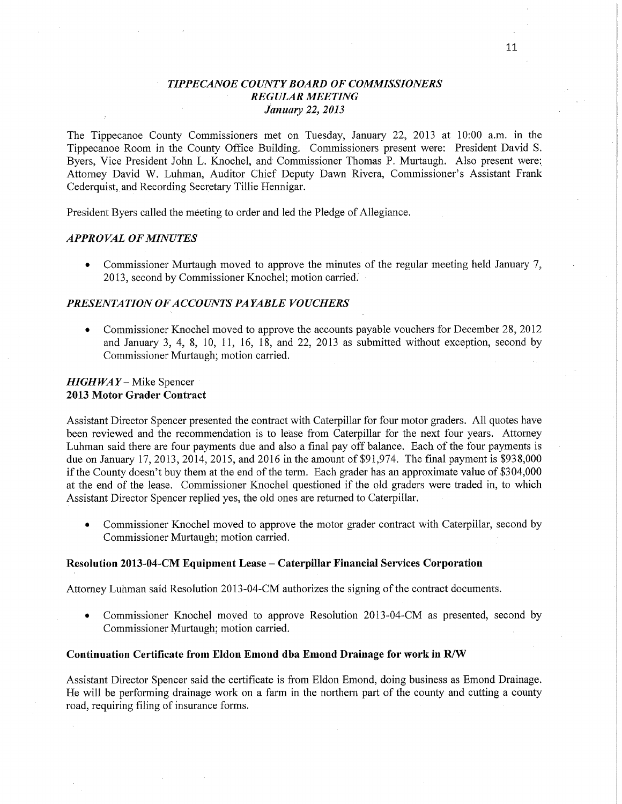## ' *TIPPECANOE COUNTY BOARD* OF *COMMISSIONERS REGULAR MEETING January* 22, *2013*

The Tippecanoe County Commissioners met on Tuesday, January 22, 2013 at 10:00 am. in the Tippecanoe Room in the County **Office** Building. Commissioners present were: President David S. Byers, Vice President John L. Knochel, and Commissioner Thomas P. Murtaugh. Also present were; Attorney David W. Luhman, Auditor Chief Deputy Dawn Rivera, Commissioner's Assistant Frank Cederquist, and Recording Secretary Tillie Hennigar.

President Byers called the meeting to order and led the Pledge of Allegiance.

## *APPRO* VAL OF *MINUTES*

**0** Commissioner Muftaugh moved to approve the minutes of the regular meeting held January 7, 2013, second by Commissioner Knochel; motion carried; '

## *PRESENTATION* OF *A CCOUNT S PAYABLE VOUCHERS*

**0** Commissioner Knochel moved to approve the accounts payable vouchers for December 28, 2012 and January 3, 4, 8, 10, 11, 16, 18, and 22, 2013 as submitted without exception, second by Commissioner Murtaugh; motion carried.

## *HIGHWAY —* Mike Spencer **2013 Motor Grader Contract**

Assistant Director Spencer presented the contract with Caterpillar for four motor graders. All quotes have been reviewed and the recommendation is to lease from Caterpillar for the next four years. Attorney Luhman said there are four payments due and also a final pay off balance. Each of the four payments is due on January 17, 2013, 2014, 2015, and 2016 in the amount of \$91,974. The final payment is \$938,000 if the County doesn't buy them at the end of the term. Each grader has an approximate value of \$3 04,000 at the end of the lease. Commissioner Knochel questioned if the old graders were traded in, to which Assistant Director Spencer replied yes, the old ones are returned to Caterpillar.

**0** Commissioner Knochel moved to approve the motor grader contract with Caterpillar, second by Commissioner Murtaugh; motion carried.

#### **Resolution 2013-04-CM** Equipment **Lease** *—* **Caterpillar Financial Services Corporation**

Attorney Luhman said Resolution 2013-04-CM authorizes the signing of the contract documents.

**0** Commissioner Knochel moved to approve Resolution 2013-04-CM as presented, second by Commissioner Murtaugh; motion carried.

#### Continuation **Certificate** from **Eldon Emond** dba **Emond Drainage** for **work** in W

Assistant Director Spencer said the certificate is from Eldon Emond, doing business as Emond Drainage. He will be performing drainage work on a farm in the northern part of the county and cutting a county road, requiring filing of insurance forms.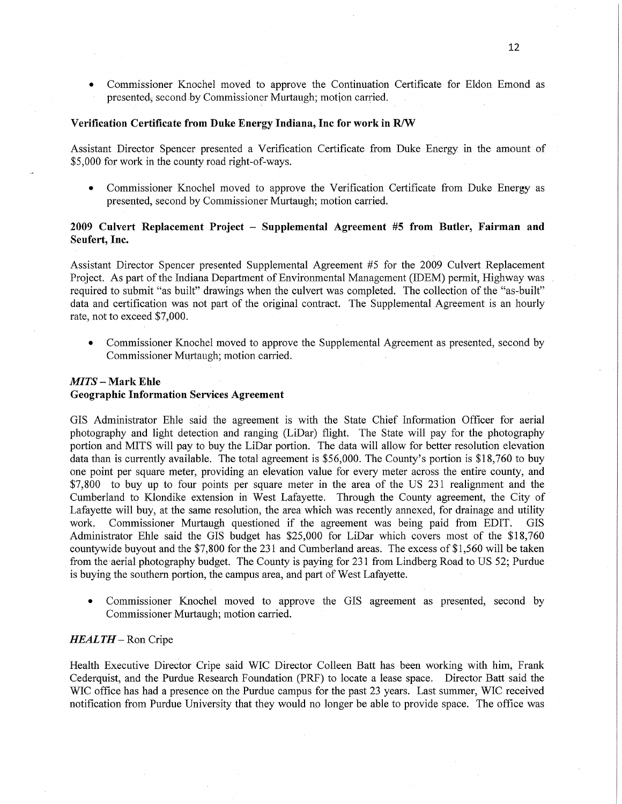**0** Commissioner Knochel moved to approve the Continuation Certificate for Eldon Emond as presented; second by Commissioner Murtaugh; motion carried. .

## **Verification Certificate from Duke Energy** Indiana, Inc for **work** in W

Assistant Director Spencer presented a Verification Certificate from Duke Energy. in the amount of \$5,000 for work in the county road right-of-ways.

*0* Commissioner Knochel moved to approve the Verification Certificate from Duke Energy as presented, second by Commissioner Murtaugh; motion carried.

## **2009** Culvert Replacement **Project** *—* **Supplemental Agreement** #5 **from Butler, Fairman** and **Seufert, Inc.**

Assistant Director Spencer presented Supplemental Agreement #5 for the 2009 Culvert Replacement Project. As part of the Indiana Department of Environmental Management (IDEM) permit, Highway was *'*  required to submit "as built" drawings when the culvert was completed. The collection of the "as-built" data and certification was not part of the original contract. The Supplemental Agreement is an hourly rate, not to exceed \$7,000.

**0** Commissioner Knochel moved to approve the Supplemental Agreement as presented, second by Commissioner Murtaugh; motion carried.

#### *MITS* **— Mark Ehle** '

#### **Geographic** Information **Services Agreement**

GIS Administrator Ehle said the agreement is with the State Chief Information Officer for aerial photography and light detection and ranging (LiDar) flight. The State will pay for the photography portion and MITS will pay to buy the LiDar portion. The data will allow for better resolution elevation data than is currently available. The total agreement is \$56,000. The County's portion is \$18,760 to buy one point per square meter, providing an elevation value for every meter across the entire county, and \$7,800 to buy up to four points per square meter in the area of the US 231 realignment and the Cumberland to Klondike extension in West Lafayette. Through the County agreement, the City of Lafayette will buy, at the same resolution, the area which was recently annexed, for drainage and utility **work.** Commissioner Murtaugh questioned if the agreement was being paid from EDIT. GIS Administrator Ehle said the GIS budget has \$25,000 for LiDar which covers most of the \$18,760 countywide buyout and the \$7, 800 for the 231 and Cumberland areas. The excess of \$1, 560 will be taken from the aerial photography budget. The County is paying for 231 from Lindberg Road to US 52; Purdue is buying the southern portion, the campus area, and part of West Lafayette

**0** Commissioner Knochel moved to approve the GIS agreement as presented, second by Commissioner Murtaugh; motion carried

#### *HEALTH —* Ron Cripe

Health Executive Diredtor Cripe said WIC Director Colleen Batt has been working with **him,** Frank Cederquist, and the Purdue Research Foundation (PRF) to locate a lease space. Director Batt said the WIC office has had a presence on the Purdue campus for the past 23 years. Last summer, WIC received notification from Purdue University that they would no longer be able to provide space. The office was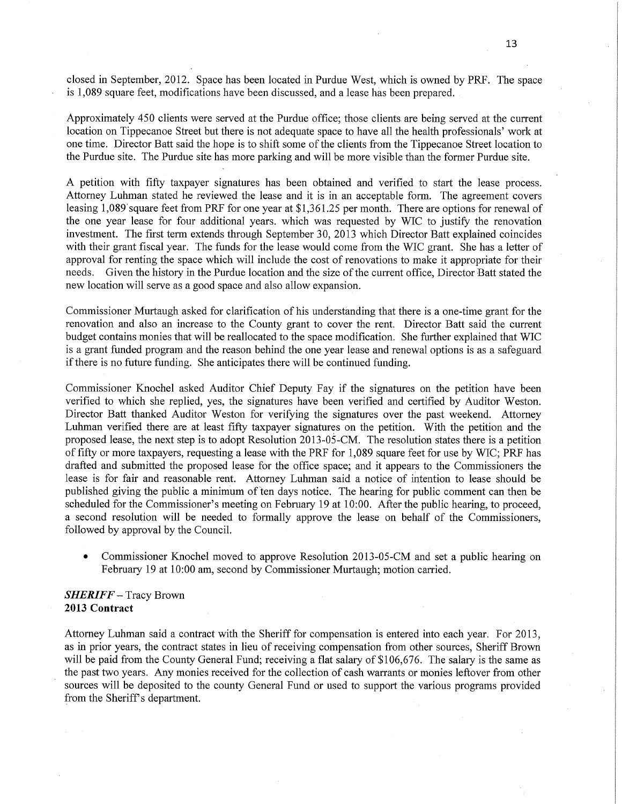closed in September, **2012.** Space has been located in Purdue West, which is owned by PRF. The space is 1,089 square feet, modifications have been discussed, and a lease has been prepared. .

Approximately 450 clients were served at the Purdue office; those clients are being served at the current location on Tippecanoe Street but there is not adequate space to have all the health professionals' work at one time. Director Batt said the hope is to shift some of the clients from the Tippecanoe Street location to the Purdue site. The Purdue site has more parking and will be more visible than the former Purdue site.

A petition with fifty taxpayer signatures has been obtained and verified to start the lease process. Attorney Luhman stated he reviewed the lease and it is in an acceptable form. The agreement covers leasing 1,089'square feet from PRF for one year at \$1,361.25 per month. There are options for renewal of the one year lease for four additional years. which was requested by WIC to justify the renovation investment. The first term extends through September 30, 2013 which Director Batt explained coincides with their grant fiscal year. The funds for the lease would come from the WIC grant. She has a letter of approval for renting the space which will include the cost of renovations to make it appropriate for their needs. Given the history in the Purdue location and the **size** of the current **office,** Director Batt stated the new location will serve as <sup>a</sup>good space and also allow expansion.

Commissioner Murtaugh asked for clarification of his understanding **that** there is a one-time **grant** for the renovation and also an increase to the County grant to cover the rent. Director Batt said the current budget contains monies that will be reallocated to the space modification. She further explained that WIC is <sup>a</sup>grant funded program and the reason behind the one year lease and renewal options is as a safeguard if there is no future funding. She anticipates there will be continued funding.

Commissioner Knochel asked Auditor Chief Deputy Fay if the signatures on the petition have been verified to which she replied, yes, the signatures have been verified and certified by Auditor Weston. Director Batt thanked Auditor Weston for verifying the signatures over the past weekend. Attorney Luhman verified there are at least fifty taxpayer signatures on the petition **With** the petition and the proposed lease, the next step is to adopt Resolution 2013- 05- CM The resolution states there IS **a** petition of fifty or more taxpayers, requesting a lease with the PRF for 1, 089 square feet for use by WIC; PRF has drafted and submitted the proposed lease for the office space; and it appears to the Commissioners the lease is for fair and reasonable **rent.** Attorney Luhman said a notice of intention to lease should be published giving the public a minimum of ten days notice. The hearing for public comment can then be scheduled for the Commissioner' *5* meeting on February 19 at 10: 00. **After** the public hearing, to proceed, **<sup>a</sup>**second resolution will be needed to formally approve the lease on behalf of the Commissioners, followed by approval by the Council

'0 Commissioner Knochel moved to approve Resolution 2013—05—CM and set a **public** hearing on February 19 at 10:00 am, second by Commissioner Murtaugh; motion **carried.** 

## *SHERIFF —* Tracy Brown **2013 Contract**

Attorney Luhman said a contract with the Sheriff for compensation is entered into each year. For 2013, as in prior years, the contract states in lieu of receiving compensation from other sources, Sheriff Brown will be paid from the County General Fund; receiving a flat salary of \$106,676. The salary is the same as the past two years. Any monies received for the collection of cash warrants or monies leftover from other sources will be deposited to the county General Fund or used to support the various programs provided from the Sheriff's department.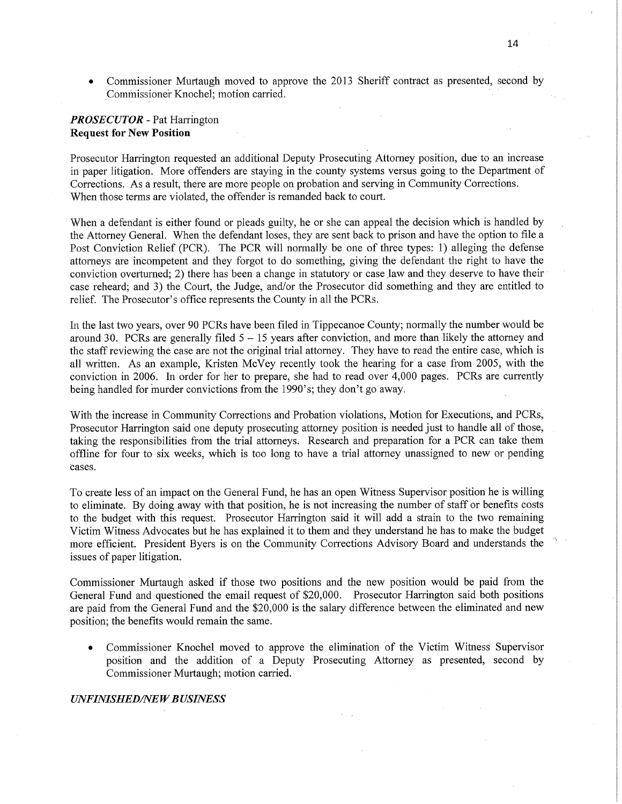**0** Commissioner Murtaugh moved to approve the 2013 Sheriff contract as presented, second by Commissioner Knochel; motion carried.

## *PROSECUTOR* — Pat Harrihgton **Request** for New **Position**

Prosecutor Harrington requested an additional Deputy Prosecuting Attorney position, due to an increase in paper litigation. More offenders are staying in the-county systems versus going to the Department of Corrections. As a result, there are more people on probation and serving in Community Corrections. When those terms are violated, the offender is remanded back to court.

When a defendant is either found or pleads guilty, he or she can appeal the decision which is handled by the Attorney General. When the defendant loses, they are sent back to prison and have the option to file a Post Conviction Relief (PCR). The PCR will normally be one of three types: 1) alleging the defense attorneys are incompetent and they forgot to do something, giving the defendant the right to have the conviction overturned; 2) there has been a change in statutory or case law and they deserve to have their case reheard; and 3) the Court, the Judge, and/or the Prosecutor did something and they are entitled to relief. The Prosecutor's office represents the County in all the **PCRs.** 

In the last two years, over 90 PCRs have been filed in Tippecanoe County; normally the number would be around 30. PCRs are generally filed 5 **—** 15 years after conviction, and more than likely the attorney and the staff reviewing the case are not the original trial attorney. They have to read the entire case, which is all written. As an example, Kristen McVey recently took the hearing for a case from 2005, with the conviction in 2006. In order for her to prepare, she had to read over 4,000 pages. PCRs are currently being handled for inurder convictions from the 1990's; they don't go away.

With the increase in Community Corrections and Probation violations, Motion for Executions, and PCRs, Prosecutor Harrington said one deputy prosecuting attorney position is needed just to handle all of those, taking the responsibilities from the trial attorneys. Research and preparation for **a** PCR can take **them**  offline for four to six weeks, which is too long to **have** a trial attorney unassigned to new or pending **'cases.** 

To create less of an impact on the General Fund, he has an open Witness Supervisor position he is Willing to eliminate. By doing away with that position, he is not increasing the number of staff or benefits costs to the budget with this request. Prosecutor Harrington said it will add **a** strain to the two remaining Victim Witness Advocates but he has explained it to them and they understand he has to make the budget more efficient. President Byers is on the Community Corrections Advisory Board and understands the *"*  issues of paper litigation.

Commissioner Murtaugh asked if those two positions and the new position would be paid from the General Fund and questioned the email request of **\$20,000.** Prosecutor Harrington **said** both positions are paid from the General **Fund** and the \$20,000 is the salary difference between the eliminated and new position; the benefits would remain the same.

**0** Commissioner Knochel moved to approve the **elimination** of the **Victim** Witness Supervisor position and the addition of a Deputy Prosecuting Attorney as presented, second by Commissioner Murtaugh; motion carried.

## *UNFINISHED/NE W B USINESS*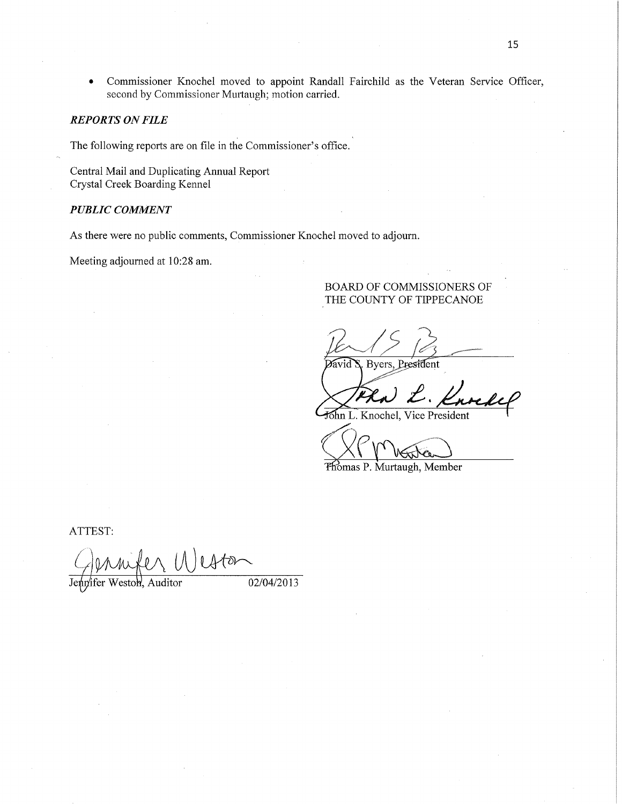*0* Commissioner Knochel moved to appoint Randall Fairchild as the Veteran Service Officer, second by Commissioner Murtaugh; motion carried.

## *REPORTS* ON *FILE*

The following reports are on file in the Commissioner's office. **|** 

Central Mail and Duplicating Annual Report Crystal Creek Boarding Kennel

## *PUBLIC COMMENT*

As there were no public comments, Commissioner Knochel moved to adjourn.

Meeting adjourned at 10:28 am.

## BOARD OF COMMISSIONERS OF THE COUNTY OF TIPPECANOE

Byers, President *d*avid

Shn L. Knochel, Vice President

 $(XP_{M_{\star}})$ 

'Pfi'bmas P. Murtaugh, Member

ATTEST:

Genrich Wester

Jennifer Weston, Auditor 02/04/2013